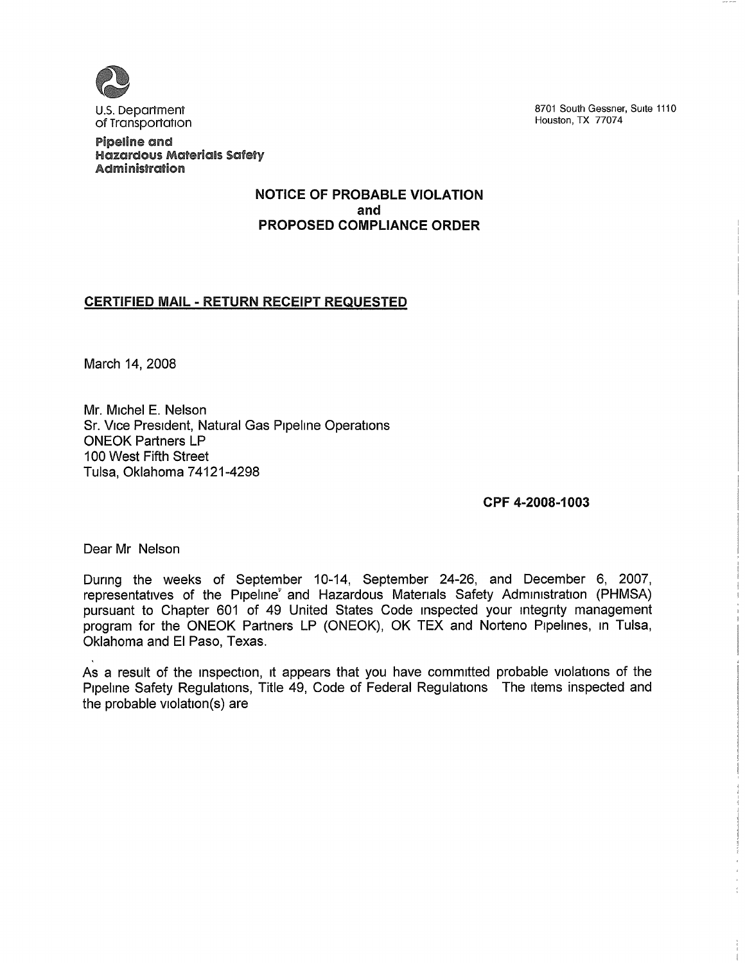

U.S. Department of Transportation

Pipeline and Hazardous Materials Safety Administration

### NOTICE GF PROBABLE VIOLATION and PROPOSED COMPLIANCE ORDER

# **CERTIFIED MAIL - RETURN RECEIPT REQUESTED**

March 14, 2008

Mr. Michel E. Nelson Sr. Vice President, Natural Gas Pipeline Operations ONEOK Partners LP 100 West Fifth Street Tulsa, Oklahoma 74121-4298

CPF 4-2008-1003

Dear Mr Nelson

Dunng the weeks of September 10-14, September 24-26, and December 6, 2007, representatives of the Pipeline' and Hazardous Materials Safety Administration (PHMSA) pursuant to Chapter 601 of 49 United States Code inspected your integnty management program for the ONEOK Partners LP (ONEOK), OK TEX and Norteno Pipelines, in Tulsa, Oklahoma and El Paso, Texas.

As a result of the inspection, it appears that you have committed probable violations of the Pipeline Safety Regulations, Title 49, Code of Federal Regulations The items inspected and the probable violation(s) are

8701 South Gessner, Suite 1110 Houston, TX 77074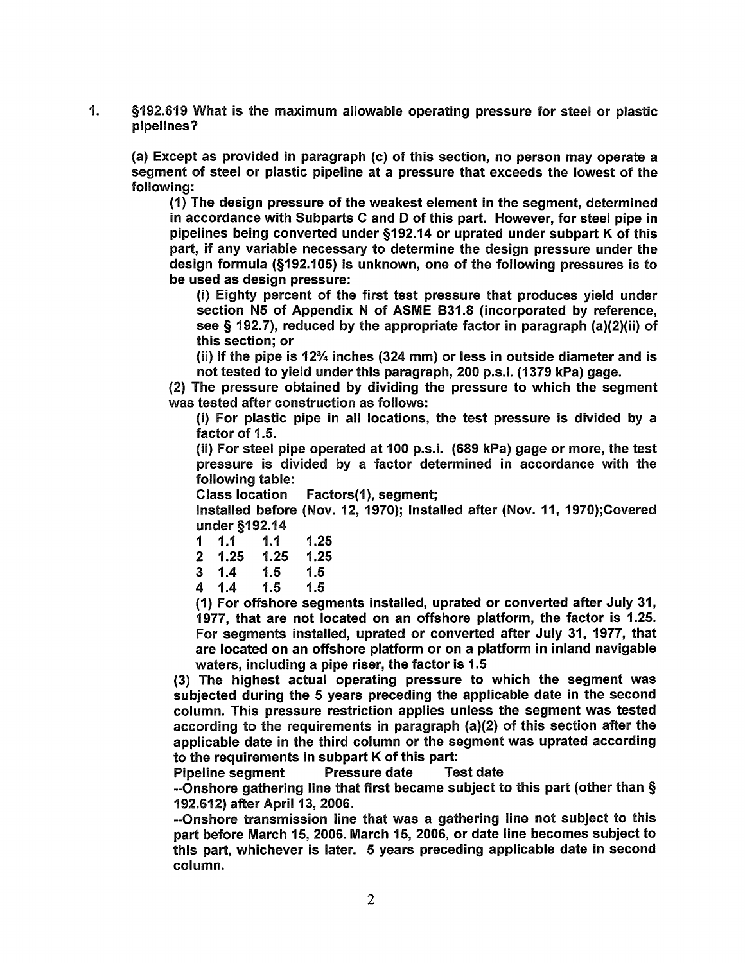1. §192.619 What is the maximum allowable operating pressure for steel or plastic pipelines?

(a) Except as provided in paragraph (c) of this section, no person may operate a segment of steel or plastic pipeline at a pressure that exceeds the lowest of the following:

(1) The design pressure of the weakest element in the segment, determined in accordance with Subparts C and D of this part. However, for steel pipe in pipelines being converted under \$192. 14 or uprated under subpart K of this part, if any variable necessary to determine the design pressure under the design formula (\$192. 105) is unknown, one of the following pressures is to be used as design pressure:

(I) Eighty percent of the first test pressure that produces yield under section N5 of Appendix N of ASME B31.8 (incorporated by reference, see § 192.7), reduced by the appropriate factor in paragraph (a)(2)(ii) of this section; or

(ii) If the pipe is 12 $\frac{3}{4}$  inches (324 mm) or less in outside diameter and is not tested to yield under this paragraph, 200 p.s.i. (1379 kPa) gage.

(2) The pressure obtained by dividing the pressure to which the segment was tested after construction as follows:

(i) For plastic pipe in all locations, the test pressure is divided by a factor of 1.5.

(ii) For steel pipe operated at 100 p.s.i. (689 kPa) gage or more, the test pressure is divided by a factor determined in accordance with the following table:

Class location Factors(1), segment;

Installed before (Nov. 12, 1970); Installed after (Nov. 11, 1970);Covered under \$192. 14

| 1 | 1.1  | 1.1  | 1.25 |
|---|------|------|------|
| 2 | 1.25 | 1.25 | 1.25 |
| 3 | 1.4  | 1.5  | 1.5  |
| 4 | 1.4  | 1.5  | 1.5  |

(1) For offshore segments installed, uprated or converted after July 31, 1977, that are not located on an offshore platform, the factor is 1.25. For segments Installed, uprated or converted after July 31, 1977, that are located on an offshore platform or on a platform in inland navigable waters, including a pipe riser, the factor is 1.5

(3) The highest actual operating pressure to which the segment was subjected during the 6 years preceding the applicable date in the second column. This pressure restriction applies unless the segment was tested according to the requirements in paragraph (a)(2) of this section after the applicable date in the third column or the segment was uprated according to the requirements in subpart K of this part:

Pipeline segment

--Onshore gathering line that first became subject to this part (other than § 192. 612) after April 13, 2006.

-Onshore transmission line that was a gathering line not subject to this part before March 16, 2006. March 16, 2006, or date line becomes subject to this part, whichever is later. 6 years preceding applicable date in second column.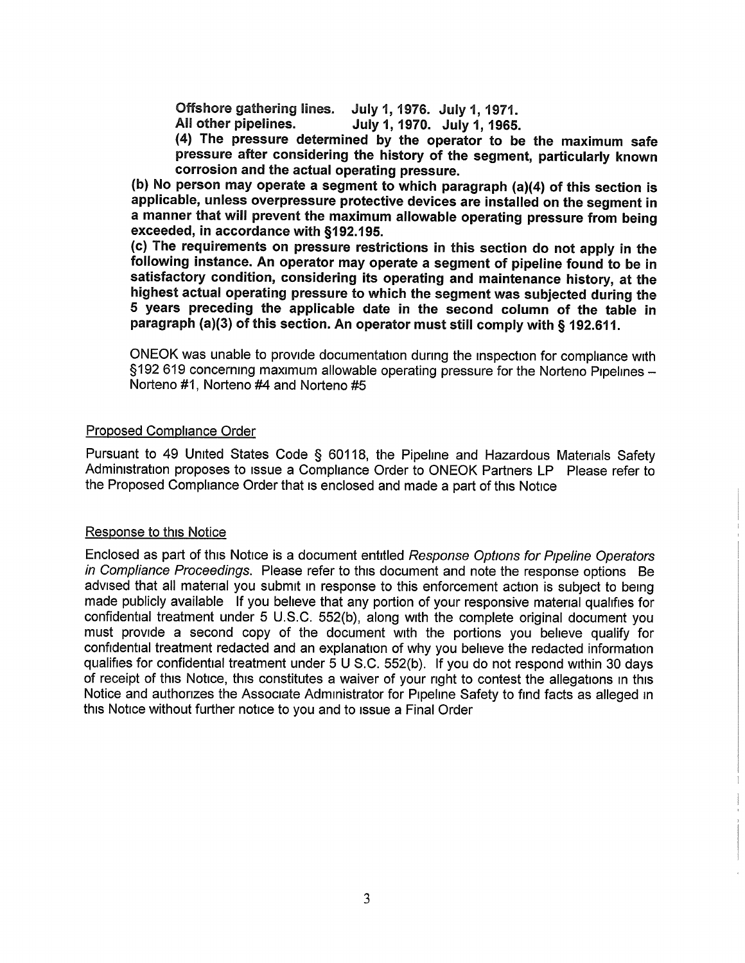Offshore gathering lines. July 1, 1976. July 1, 1971.<br>All other pipelines. July 1, 1970. July 1, 1965. July 1, 1970. July 1, 1965.

(4) The pressure determined by the operator to be the maximum safe pressure after considering the history of the segment, particularly known corrosion and the actual operating pressure.

(b) No person may operate a segment to which paragraph (a)(4) of this section is applicable, unless overpressure protective devices are installed on the segment in a manner that will prevent the maximum allowable operating pressure from being exceeded, in accordance with \$192. 196.

(c) The requirements on pressure restrictions in this section do not apply in the following instance. An operator may operate a segment of pipeline found to be in satisfactory condition, considering its operating and maintenance history, at the highest actual operating pressure to which the segment was subjected during the 6 years preceding the applicable date in the second column of the table in paragraph (a)(3) of this section. An operator must still comply with § 192.611.

ONEOK was unable to provide documentation dunng the inspection for compliance with §192 619 concerning maximum allowable operating pressure for the Norteno Pipelines -Norteno #1, Norteno #4 and Norteno #5

## Proposed Compliance Order

Pursuant to 49 United States Code § 60118, the Pipeline and Hazardous Materials Safety Administration proposes to issue a Compliance Order to ONEOK Partners LP Please refer to the Proposed Compliance Order that is enclosed and made a part of this Notice

### Response to this Notice

Enclosed as part of this Notice is a document entitled Response Options for Pipeline Operators in Compliance Proceedings. Please refer to this document and note the response options Be advised that all matenal you submit in response to this enforcement action is subject to being made publicly available If you believe that any portion of your responsive matenal qualifies for confidential treatment under 5 U.S.C. 552(b), along with the complete original document you must provide a second copy of the document with the portions you believe qualify for confidential treatment redacted and an explanation of why you believe the redacted information qualifies for confidential treatment under 5 U S.C. 552(b). If you do not respond within 30 days of receipt of this Notice, this constitutes a waiver of your right to contest the allegations in this Notice and authonzes the Associate Administrator for Pipeline Safety to find facts as alleged in this Notice without further notice to you and to issue a Final Order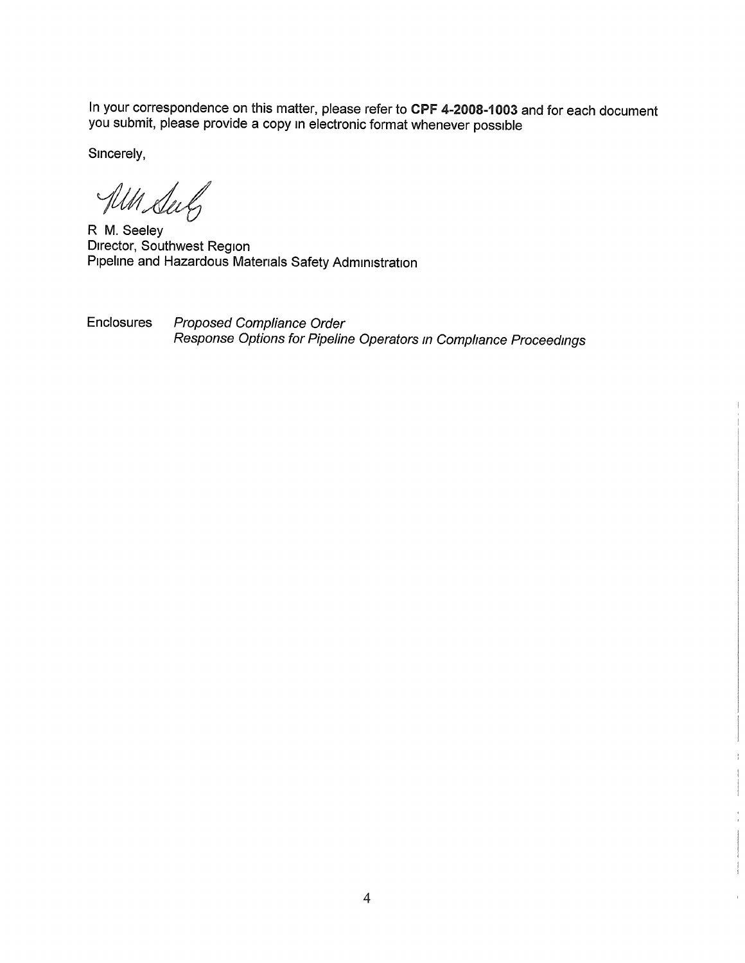In your correspondence on this matter, please refer to CPF 4-2008-1003 and for each document you submit, please provide a copy in electronic format whenever possible

Sincerely,

All Sub

R M. Seeley Director, Southwest Region Pipeline and Hazardous Matenals Safety Administration

Enclosures Proposed Compliance Order Response Options for Pipeline Operators in Compliance Proceedings